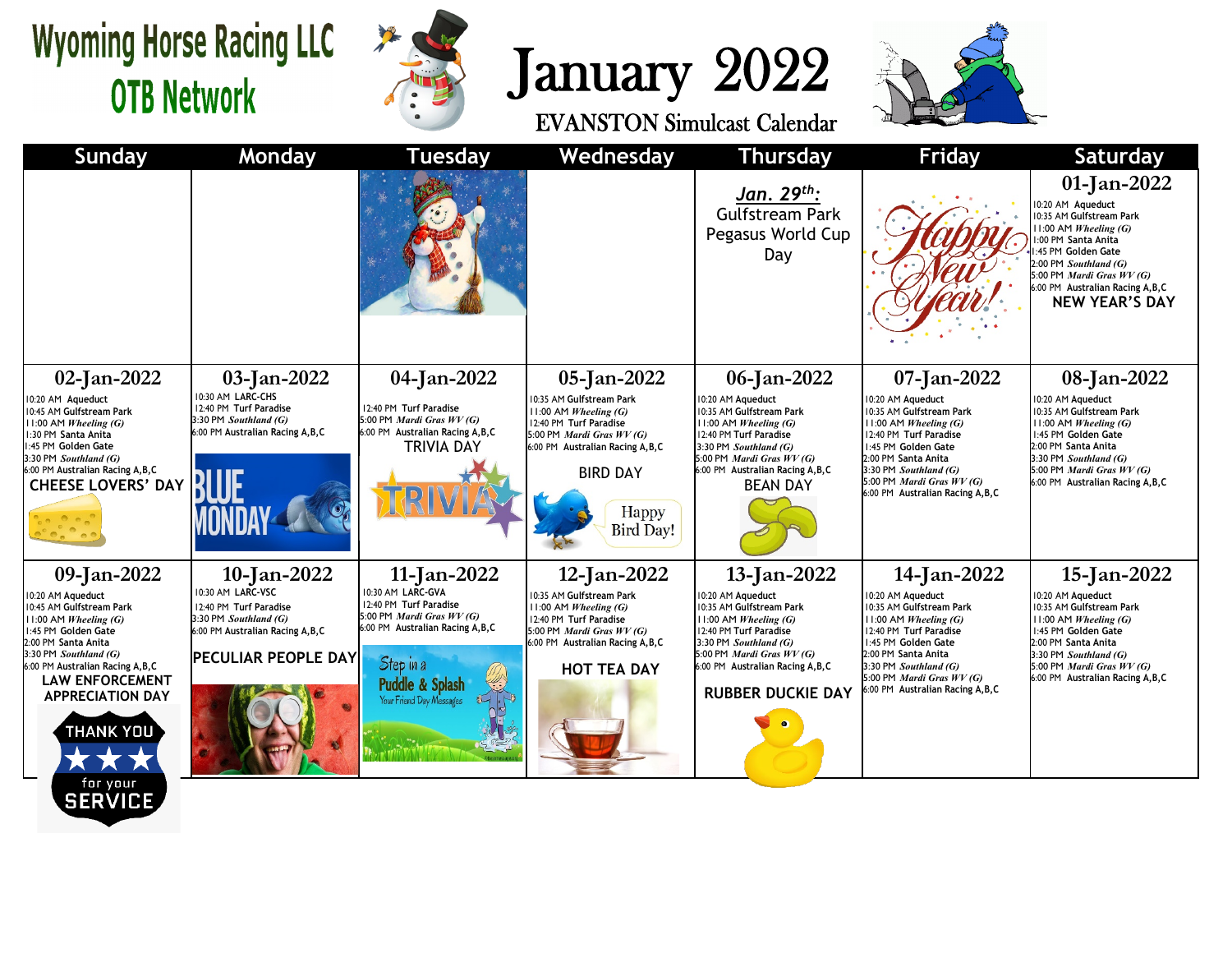## **Wyoming Horse Racing LLC OTB Network**



## January 2022



| <b>Sunday</b>                                                                                                                                                                                                                                                                                            | Monday                                                                                                                                                 | <b>Tuesday</b>                                                                                                                                                                                  | Wednesday                                                                                                                                                                                                           | <b>Thursday</b>                                                                                                                                                                                                                               | <b>Friday</b>                                                                                                                                                                                                                                                     | <b>Saturday</b>                                                                                                                                                                                                                                    |
|----------------------------------------------------------------------------------------------------------------------------------------------------------------------------------------------------------------------------------------------------------------------------------------------------------|--------------------------------------------------------------------------------------------------------------------------------------------------------|-------------------------------------------------------------------------------------------------------------------------------------------------------------------------------------------------|---------------------------------------------------------------------------------------------------------------------------------------------------------------------------------------------------------------------|-----------------------------------------------------------------------------------------------------------------------------------------------------------------------------------------------------------------------------------------------|-------------------------------------------------------------------------------------------------------------------------------------------------------------------------------------------------------------------------------------------------------------------|----------------------------------------------------------------------------------------------------------------------------------------------------------------------------------------------------------------------------------------------------|
|                                                                                                                                                                                                                                                                                                          |                                                                                                                                                        |                                                                                                                                                                                                 |                                                                                                                                                                                                                     | Jan. 29 <sup>th</sup> :<br>Gulfstream Park<br>Pegasus World Cup<br>Day                                                                                                                                                                        |                                                                                                                                                                                                                                                                   | 01-Jan-2022<br>0:20 AM Aqueduct<br>0:35 AM Gulfstream Park<br>1:00 AM Wheeling (G)<br>:00 PM Santa Anita<br>:45 PM Golden Gate<br>2:00 PM Southland (G)<br>5:00 PM Mardi Gras WV (G)<br>6:00 PM Australian Racing A, B, C<br><b>NEW YEAR'S DAY</b> |
| 02-Jan-2022<br>0:20 AM Aqueduct<br>10:45 AM Gulfstream Park<br>11:00 AM Wheeling (G)<br>I:30 PM Santa Anita<br>:45 PM Golden Gate<br>3:30 PM Southland (G)<br>6:00 PM Australian Racing A, B, C<br><b>CHEESE LOVERS' DAY</b>                                                                             | $03$ -Jan-2022<br>10:30 AM LARC-CHS<br>12:40 PM Turf Paradise<br>3:30 PM Southland (G)<br>6:00 PM Australian Racing A, B, C                            | 04-Jan-2022<br>12:40 PM Turf Paradise<br>5:00 PM Mardi Gras WV (G)<br>6:00 PM Australian Racing A, B, C<br><b>TRIVIA DAY</b>                                                                    | 05-Jan-2022<br>10:35 AM Gulfstream Park<br>11:00 AM Wheeling (G)<br>12:40 PM Turf Paradise<br>5:00 PM <i>Mardi Gras WV (G)</i><br>6:00 PM Australian Racing A, B, C<br><b>BIRD DAY</b><br>Happy<br><b>Bird Day!</b> | 06-Jan-2022<br>0:20 AM Aqueduct<br>0:35 AM Gulfstream Park<br>11:00 AM Wheeling (G)<br>12:40 PM Turf Paradise<br>3:30 PM Southland (G)<br>5:00 PM Mardi Gras WV (G)<br>6:00 PM Australian Racing A, B, C<br><b>BEAN DAY</b>                   | 07-Jan-2022<br>10:20 AM Aqueduct<br>10:35 AM Gulfstream Park<br>$11:00$ AM Wheeling (G)<br>12:40 PM Turf Paradise<br>1:45 PM Golden Gate<br>2:00 PM Santa Anita<br>3:30 PM Southland (G)<br>5:00 PM <i>Mardi Gras WV (G)</i><br>6:00 PM Australian Racing A, B, C | 08-Jan-2022<br>10:20 AM Aqueduct<br>10:35 AM Gulfstream Park<br>11:00 AM Wheeling $(G)$<br>1:45 PM Golden Gate<br>2:00 PM Santa Anita<br>3:30 PM Southland (G)<br>5:00 PM Mardi Gras WV (G)<br>6:00 PM Australian Racing A, B, C                   |
| 09-Jan-2022<br>0:20 AM Aqueduct<br>10:45 AM Gulfstream Park<br>11:00 AM Wheeling (G)<br>1:45 PM Golden Gate<br>2:00 PM Santa Anita<br>3:30 PM Southland (G)<br>6:00 PM Australian Racing A, B, C<br><b>LAW ENFORCEMENT</b><br><b>APPRECIATION DAY</b><br>THANK YOU \<br>**<br>for your<br><b>SERVICE</b> | 10-Jan-2022<br>10:30 AM LARC-VSC<br>12:40 PM Turf Paradise<br>3:30 PM Southland (G)<br>6:00 PM Australian Racing A, B, C<br><b>PECULIAR PEOPLE DAY</b> | 11-Jan-2022<br>10:30 AM LARC-GVA<br>12:40 PM Turf Paradise<br>5:00 PM <i>Mardi Gras WV (G)</i><br>6:00 PM Australian Racing A, B, C<br>Step in a<br>Puddle & Splash<br>Your Friend Day Messages | 12-Jan-2022<br>10:35 AM Gulfstream Park<br>$11:00$ AM Wheeling (G)<br>12:40 PM Turf Paradise<br>5:00 PM <i>Mardi Gras WV (G)</i><br>6:00 PM Australian Racing A, B, C<br><b>HOT TEA DAY</b>                         | 13-Jan-2022<br>0:20 AM Aqueduct<br>0:35 AM Gulfstream Park<br>$11:00$ AM <i>Wheeling</i> (G)<br>12:40 PM Turf Paradise<br>3:30 PM Southland (G)<br>5:00 PM Mardi Gras WV (G)<br>6:00 PM Australian Racing A, B, C<br><b>RUBBER DUCKIE DAY</b> | 14-Jan-2022<br>10:20 AM Aqueduct<br>10:35 AM Gulfstream Park<br>$11:00$ AM Wheeling (G)<br>12:40 PM Turf Paradise<br>1:45 PM Golden Gate<br>2:00 PM Santa Anita<br>3:30 PM Southland (G)<br>5:00 PM <i>Mardi Gras WV (G)</i><br>6:00 PM Australian Racing A, B, C | 15-Jan-2022<br>10:20 AM Aqueduct<br>10:35 AM Gulfstream Park<br>$11:00$ AM Wheeling (G)<br>1:45 PM Golden Gate<br>2:00 PM Santa Anita<br>3:30 PM Southland (G)<br>5:00 PM Mardi Gras WV (G)<br>6:00 PM Australian Racing A, B, C                   |